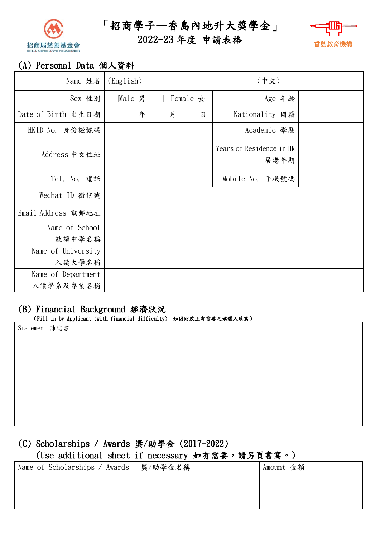

「招商學子—香島內地升大獎學金」

# 2022-23 年度 申請表格



## (A) Personal Data 個人資料

| Name 姓名                  | (English) | (中文)            |        |                                  |  |
|--------------------------|-----------|-----------------|--------|----------------------------------|--|
| Sex 性別                   | □Male 男   | $\Box$ Female 女 |        | Age 年齢                           |  |
| Date of Birth 出生日期       | 年         | 月               | $\Box$ | Nationality 國籍                   |  |
| HKID No. 身份證號碼           |           |                 |        | Academic 學歷                      |  |
| Address 中文住址             |           |                 |        | Years of Residence in HK<br>居港年期 |  |
| Tel. No. 電話              |           |                 |        | Mobile No. 手機號碼                  |  |
| Wechat ID 微信號            |           |                 |        |                                  |  |
| Email Address 電郵地址       |           |                 |        |                                  |  |
| Name of School<br>就讀中學名稱 |           |                 |        |                                  |  |
| Name of University       |           |                 |        |                                  |  |
| 入讀大學名稱                   |           |                 |        |                                  |  |
| Name of Department       |           |                 |        |                                  |  |
| 入讀學系及專業名稱                |           |                 |        |                                  |  |

# (B) Financial Background 經濟狀況

(Fill in by Applicant (with financial difficulty) 如因財政上有需要之候選人填寫)

Statement 陳述書

### (C) Scholarships / Awards 獎/助學金 (2017-2022)

### (Use additional sheet if necessary 如有需要,請另頁書寫。)

| Name of Scholarships / Awards – 獎/助學金名稱 | Amount 金額 |
|-----------------------------------------|-----------|
|                                         |           |
|                                         |           |
|                                         |           |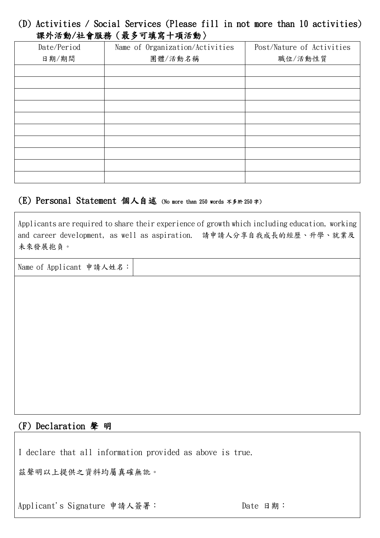#### (D) Activities / Social Services (Please fill in not more than 10 activities) 課外活動/社會服務(最多可填寫十項活動〉

| Date/Period | Name of Organization/Activities | Post/Nature of Activities |  |  |  |  |  |
|-------------|---------------------------------|---------------------------|--|--|--|--|--|
| 日期/期間       | 團體/活動名稱                         | 職位/活動性質                   |  |  |  |  |  |
|             |                                 |                           |  |  |  |  |  |
|             |                                 |                           |  |  |  |  |  |
|             |                                 |                           |  |  |  |  |  |
|             |                                 |                           |  |  |  |  |  |
|             |                                 |                           |  |  |  |  |  |
|             |                                 |                           |  |  |  |  |  |
|             |                                 |                           |  |  |  |  |  |
|             |                                 |                           |  |  |  |  |  |
|             |                                 |                           |  |  |  |  |  |
|             |                                 |                           |  |  |  |  |  |

#### (E) Personal Statement 個人自述 (No more than 250 words 不多於 <sup>250</sup> <sup>字</sup>)

Applicants are required to share their experience of growth which including education, working and career development, as well as aspiration. 請申請人分享自我成長的經歷、升學、就業及 未來發展抱負。

Name of Applicant 申請人姓名:

#### (F) Declaration 聲 明

I declare that all information provided as above is true.

茲聲明以上提供之資料均屬真確無訛。

Applicant's Signature 申請人簽署: Date 日期: